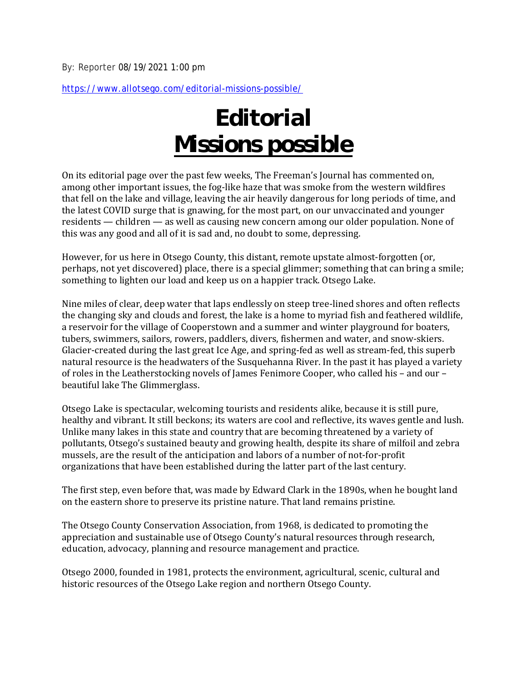https://www.allotsego.com/editorial-missions-possible/

## *Editorial* **Missions possible**

On its editorial page over the past few weeks, The Freeman's Journal has commented on, among other important issues, the fog-like haze that was smoke from the western wildfires that fell on the lake and village, leaving the air heavily dangerous for long periods of time, and the latest COVID surge that is gnawing, for the most part, on our unvaccinated and younger residents — children — as well as causing new concern among our older population. None of this was any good and all of it is sad and, no doubt to some, depressing.

However, for us here in Otsego County, this distant, remote upstate almost-forgotten (or, perhaps, not yet discovered) place, there is a special glimmer; something that can bring a smile; something to lighten our load and keep us on a happier track. Otsego Lake.

Nine miles of clear, deep water that laps endlessly on steep tree-lined shores and often reflects the changing sky and clouds and forest, the lake is a home to myriad fish and feathered wildlife, a reservoir for the village of Cooperstown and a summer and winter playground for boaters, tubers, swimmers, sailors, rowers, paddlers, divers, fishermen and water, and snow-skiers. Glacier-created during the last great Ice Age, and spring-fed as well as stream-fed, this superb natural resource is the headwaters of the Susquehanna River. In the past it has played a variety of roles in the Leatherstocking novels of James Fenimore Cooper, who called his – and our – beautiful lake The Glimmerglass.

Otsego Lake is spectacular, welcoming tourists and residents alike, because it is still pure, healthy and vibrant. It still beckons; its waters are cool and reflective, its waves gentle and lush. Unlike many lakes in this state and country that are becoming threatened by a variety of pollutants, Otsego's sustained beauty and growing health, despite its share of milfoil and zebra mussels, are the result of the anticipation and labors of a number of not-for-profit organizations that have been established during the latter part of the last century.

The first step, even before that, was made by Edward Clark in the 1890s, when he bought land on the eastern shore to preserve its pristine nature. That land remains pristine.

The Otsego County Conservation Association, from 1968, is dedicated to promoting the appreciation and sustainable use of Otsego County's natural resources through research, education, advocacy, planning and resource management and practice.

Otsego 2000, founded in 1981, protects the environment, agricultural, scenic, cultural and historic resources of the Otsego Lake region and northern Otsego County.